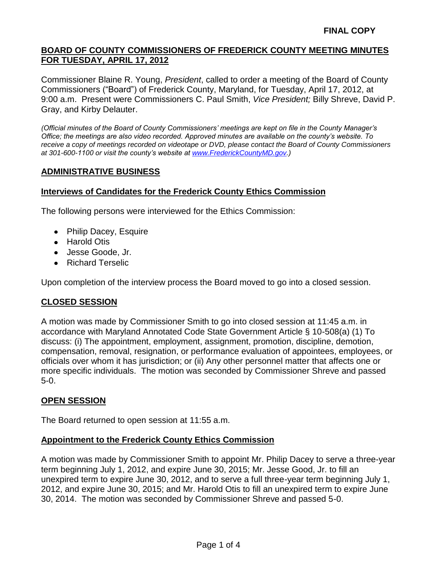Commissioner Blaine R. Young, *President*, called to order a meeting of the Board of County Commissioners ("Board") of Frederick County, Maryland, for Tuesday, April 17, 2012, at 9:00 a.m. Present were Commissioners C. Paul Smith, *Vice President;* Billy Shreve, David P. Gray, and Kirby Delauter.

*(Official minutes of the Board of County Commissioners' meetings are kept on file in the County Manager's Office; the meetings are also video recorded. Approved minutes are available on the county's website. To receive a copy of meetings recorded on videotape or DVD, please contact the Board of County Commissioners at 301-600-1100 or visit the county's website at [www.FrederickCountyMD.gov.](http://www.frederickcountymd.gov/))*

### **ADMINISTRATIVE BUSINESS**

### **Interviews of Candidates for the Frederick County Ethics Commission**

The following persons were interviewed for the Ethics Commission:

- Philip Dacey, Esquire
- Harold Otis
- Jesse Goode, Jr.
- Richard Terselic

Upon completion of the interview process the Board moved to go into a closed session.

### **CLOSED SESSION**

A motion was made by Commissioner Smith to go into closed session at 11:45 a.m. in accordance with Maryland Annotated Code State Government Article § 10-508(a) (1) To discuss: (i) The appointment, employment, assignment, promotion, discipline, demotion, compensation, removal, resignation, or performance evaluation of appointees, employees, or officials over whom it has jurisdiction; or (ii) Any other personnel matter that affects one or more specific individuals. The motion was seconded by Commissioner Shreve and passed 5-0.

### **OPEN SESSION**

The Board returned to open session at 11:55 a.m.

### **Appointment to the Frederick County Ethics Commission**

A motion was made by Commissioner Smith to appoint Mr. Philip Dacey to serve a three-year term beginning July 1, 2012, and expire June 30, 2015; Mr. Jesse Good, Jr. to fill an unexpired term to expire June 30, 2012, and to serve a full three-year term beginning July 1, 2012, and expire June 30, 2015; and Mr. Harold Otis to fill an unexpired term to expire June 30, 2014. The motion was seconded by Commissioner Shreve and passed 5-0.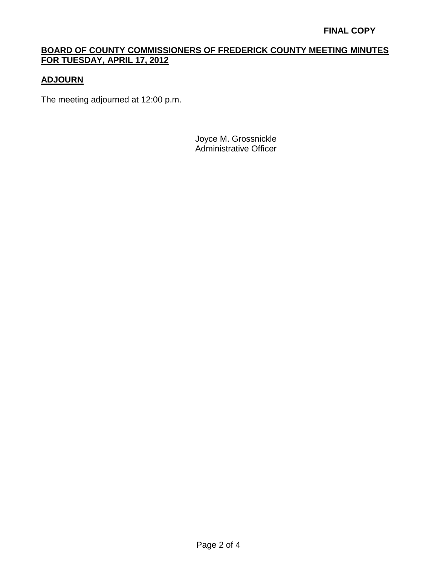# **ADJOURN**

The meeting adjourned at 12:00 p.m.

Joyce M. Grossnickle Administrative Officer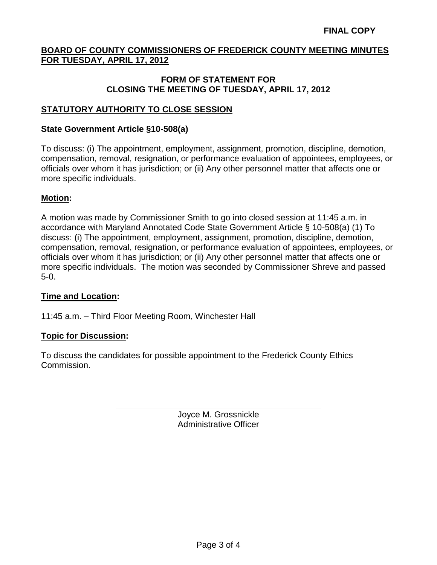#### **FORM OF STATEMENT FOR CLOSING THE MEETING OF TUESDAY, APRIL 17, 2012**

## **STATUTORY AUTHORITY TO CLOSE SESSION**

#### **State Government Article §10-508(a)**

To discuss: (i) The appointment, employment, assignment, promotion, discipline, demotion, compensation, removal, resignation, or performance evaluation of appointees, employees, or officials over whom it has jurisdiction; or (ii) Any other personnel matter that affects one or more specific individuals.

### **Motion:**

A motion was made by Commissioner Smith to go into closed session at 11:45 a.m. in accordance with Maryland Annotated Code State Government Article § 10-508(a) (1) To discuss: (i) The appointment, employment, assignment, promotion, discipline, demotion, compensation, removal, resignation, or performance evaluation of appointees, employees, or officials over whom it has jurisdiction; or (ii) Any other personnel matter that affects one or more specific individuals. The motion was seconded by Commissioner Shreve and passed 5-0.

### **Time and Location:**

11:45 a.m. – Third Floor Meeting Room, Winchester Hall

### **Topic for Discussion:**

To discuss the candidates for possible appointment to the Frederick County Ethics Commission.

> Joyce M. Grossnickle Administrative Officer